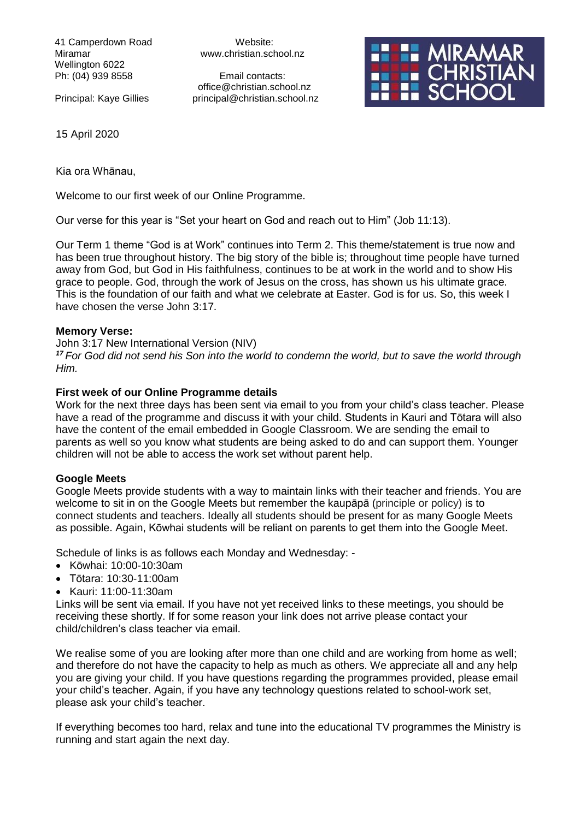41 Camperdown Road Website: Wellington 6022 Ph: (04) 939 8558 Email contacts:

Miramar www.christian.school.nz

 office@christian.school.nz Principal: Kaye Gillies principal@christian.school.nz



15 April 2020

Kia ora Whānau,

Welcome to our first week of our Online Programme.

Our verse for this year is "Set your heart on God and reach out to Him" (Job 11:13).

Our Term 1 theme "God is at Work" continues into Term 2. This theme/statement is true now and has been true throughout history. The big story of the bible is; throughout time people have turned away from God, but God in His faithfulness, continues to be at work in the world and to show His grace to people. God, through the work of Jesus on the cross, has shown us his ultimate grace. This is the foundation of our faith and what we celebrate at Easter. God is for us. So, this week I have chosen the verse John 3:17.

#### **Memory Verse:**

John 3:17 New International Version (NIV)

*<sup>17</sup> For God did not send his Son into the world to condemn the world, but to save the world through Him.*

#### **First week of our Online Programme details**

Work for the next three days has been sent via email to you from your child's class teacher. Please have a read of the programme and discuss it with your child. Students in Kauri and Tōtara will also have the content of the email embedded in Google Classroom. We are sending the email to parents as well so you know what students are being asked to do and can support them. Younger children will not be able to access the work set without parent help.

## **Google Meets**

Google Meets provide students with a way to maintain links with their teacher and friends. You are welcome to sit in on the Google Meets but remember the kaupāpā (principle or policy) is to connect students and teachers. Ideally all students should be present for as many Google Meets as possible. Again, Kōwhai students will be reliant on parents to get them into the Google Meet.

Schedule of links is as follows each Monday and Wednesday: -

- Kōwhai: 10:00-10:30am
- Tōtara: 10:30-11:00am
- Kauri: 11:00-11:30am

Links will be sent via email. If you have not yet received links to these meetings, you should be receiving these shortly. If for some reason your link does not arrive please contact your child/children's class teacher via email.

We realise some of you are looking after more than one child and are working from home as well; and therefore do not have the capacity to help as much as others. We appreciate all and any help you are giving your child. If you have questions regarding the programmes provided, please email your child's teacher. Again, if you have any technology questions related to school-work set, please ask your child's teacher.

If everything becomes too hard, relax and tune into the educational TV programmes the Ministry is running and start again the next day.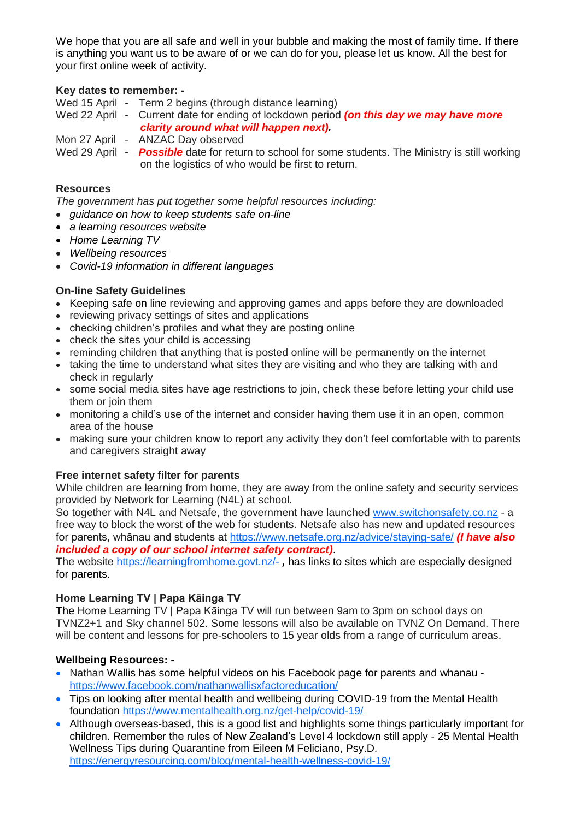We hope that you are all safe and well in your bubble and making the most of family time. If there is anything you want us to be aware of or we can do for you, please let us know. All the best for your first online week of activity.

# **Key dates to remember: -**

Wed 15 April - Term 2 begins (through distance learning)

Wed 22 April - Current date for ending of lockdown period *(on this day we may have more clarity around what will happen next).*

Mon 27 April - ANZAC Day observed

Wed 29 April - **Possible** date for return to school for some students. The Ministry is still working on the logistics of who would be first to return.

## **Resources**

*The government has put together some helpful resources including:*

- *guidance on how to keep students safe on-line*
- *a learning resources website*
- *Home Learning TV*
- *Wellbeing resources*
- *Covid-19 information in different languages*

## **On-line Safety Guidelines**

- Keeping safe on line reviewing and approving games and apps before they are downloaded
- reviewing privacy settings of sites and applications
- checking children's profiles and what they are posting online
- check the sites your child is accessing
- reminding children that anything that is posted online will be permanently on the internet
- taking the time to understand what sites they are visiting and who they are talking with and check in regularly
- some social media sites have age restrictions to join, check these before letting your child use them or join them
- monitoring a child's use of the internet and consider having them use it in an open, common area of the house
- making sure your children know to report any activity they don't feel comfortable with to parents and caregivers straight away

## **Free internet safety filter for parents**

While children are learning from home, they are away from the online safety and security services provided by Network for Learning (N4L) at school.

So together with N4L and Netsafe, the government have launched [www.switchonsafety.co.nz](https://govt.us3.list-manage.com/track/click?u=2f59fcd18a691d315b5a045cb&id=d6d441d08e&e=9f6dfc3458) - a free way to block the worst of the web for students. Netsafe also has new and updated resources for parents, whānau and students at [https://www.netsafe.org.nz/advice/staying-safe/](https://govt.us3.list-manage.com/track/click?u=2f59fcd18a691d315b5a045cb&id=c39089eaf1&e=9f6dfc3458) *(I have also included a copy of our school internet safety contract)*.

The website<https://learningfromhome.govt.nz/-> *,* has links to sites which are especially designed for parents.

## **Home Learning TV | Papa Kāinga TV**

The Home Learning TV | Papa Kāinga TV will run between 9am to 3pm on school days on TVNZ2+1 and Sky channel 502. Some lessons will also be available on TVNZ On Demand. There will be content and lessons for pre-schoolers to 15 year olds from a range of curriculum areas.

## **Wellbeing Resources: -**

- Nathan Wallis has some helpful videos on his Facebook page for parents and whanau <https://www.facebook.com/nathanwallisxfactoreducation/>
- Tips on looking after mental health and wellbeing during COVID-19 from the Mental Health foundation [https://www.mentalhealth.org.nz/get-help/covid-19/](https://govt.us3.list-manage.com/track/click?u=2f59fcd18a691d315b5a045cb&id=19a14a5682&e=9f6dfc3458)
- Although overseas-based, this is a good list and highlights some things particularly important for children. Remember the rules of New Zealand's Level 4 lockdown still apply - 25 Mental Health Wellness Tips during Quarantine from Eileen M Feliciano, Psy.D. <https://energyresourcing.com/blog/mental-health-wellness-covid-19/>